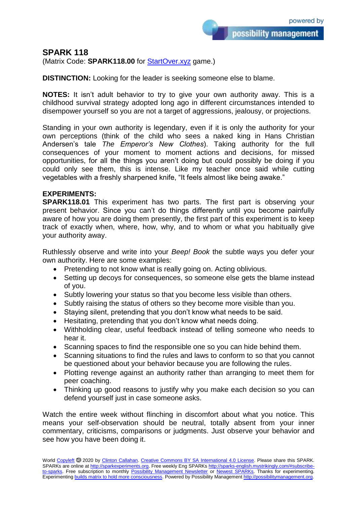## **SPARK 118**

(Matrix Code: **SPARK118.00** for **StartOver.xyz** game.)

**DISTINCTION:** Looking for the leader is seeking someone else to blame.

**NOTES:** It isn't adult behavior to try to give your own authority away. This is a childhood survival strategy adopted long ago in different circumstances intended to disempower yourself so you are not a target of aggressions, jealousy, or projections.

Standing in your own authority is legendary, even if it is only the authority for your own perceptions (think of the child who sees a naked king in Hans Christian Andersen's tale *The Emperor's New Clothes*). Taking authority for the full consequences of your moment to moment actions and decisions, for missed opportunities, for all the things you aren't doing but could possibly be doing if you could only see them, this is intense. Like my teacher once said while cutting vegetables with a freshly sharpened knife, "It feels almost like being awake."

## **EXPERIMENTS:**

**SPARK118.01** This experiment has two parts. The first part is observing your present behavior. Since you can't do things differently until you become painfully aware of how you are doing them presently, the first part of this experiment is to keep track of exactly when, where, how, why, and to whom or what you habitually give your authority away.

Ruthlessly observe and write into your *Beep! Book* the subtle ways you defer your own authority. Here are some examples:

- Pretending to not know what is really going on. Acting oblivious.
- Setting up decoys for consequences, so someone else gets the blame instead of you.
- Subtly lowering your status so that you become less visible than others.
- Subtly raising the status of others so they become more visible than you.
- Staying silent, pretending that you don't know what needs to be said.
- Hesitating, pretending that you don't know what needs doing.
- Withholding clear, useful feedback instead of telling someone who needs to hear it.
- Scanning spaces to find the responsible one so you can hide behind them.
- Scanning situations to find the rules and laws to conform to so that you cannot be questioned about your behavior because you are following the rules.
- Plotting revenge against an authority rather than arranging to meet them for peer coaching.
- Thinking up good reasons to justify why you make each decision so you can defend yourself just in case someone asks.

Watch the entire week without flinching in discomfort about what you notice. This means your self-observation should be neutral, totally absent from your inner commentary, criticisms, comparisons or judgments. Just observe your behavior and see how you have been doing it.